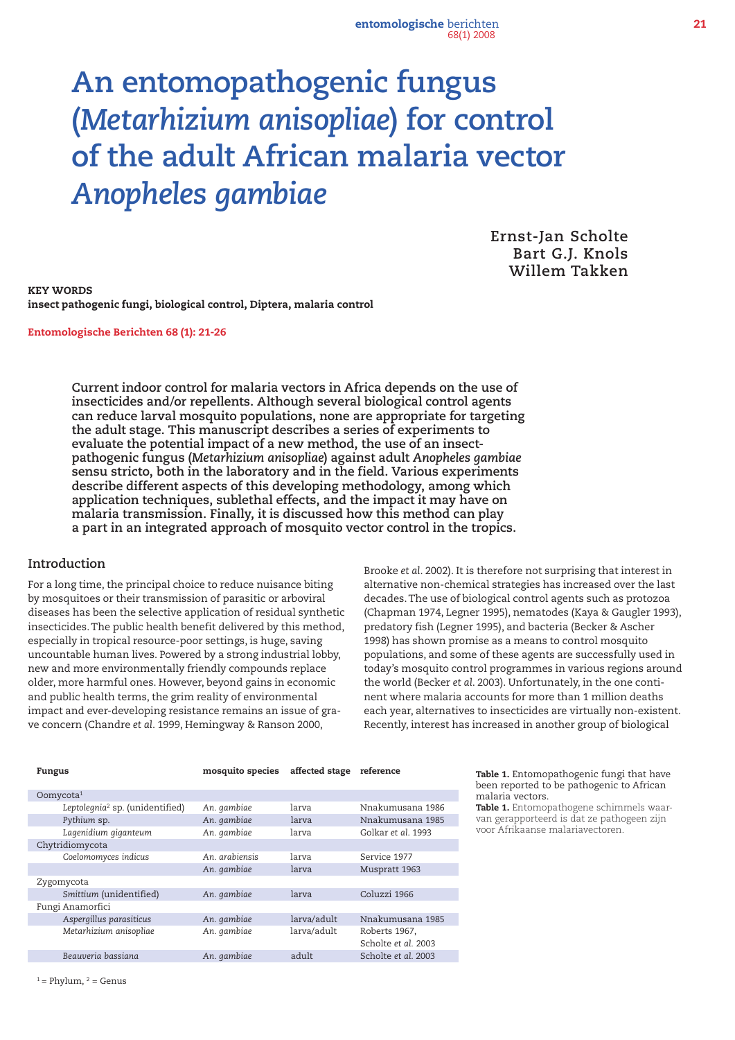entomologische berichten 21 68(1) 2008

# **An entomopathogenic fungus (***Metarhizium anisopliae***) for control of the adult African malaria vector**  *Anopheles gambiae*

**Ernst-Jan Scholte Bart G.J. Knols Willem Takken**

KEY WORDS insect pathogenic fungi, biological control, Diptera, malaria control

Entomologische Berichten 68 (1): 21-26

**Current indoor control for malaria vectors in Africa depends on the use of insecticides and/or repellents. Although several biological control agents can reduce larval mosquito populations, none are appropriate for targeting the adult stage. This manuscript describes a series of experiments to evaluate the potential impact of a new method, the use of an insectpathogenic fungus (***Metarhizium anisopliae***) against adult** *Anopheles gambiae* **sensu stricto, both in the laboratory and in the field. Various experiments describe different aspects of this developing methodology, among which application techniques, sublethal effects, and the impact it may have on malaria transmission. Finally, it is discussed how this method can play a part in an integrated approach of mosquito vector control in the tropics.**

#### **Introduction**

For a long time, the principal choice to reduce nuisance biting by mosquitoes or their transmission of parasitic or arboviral diseases has been the selective application of residual synthetic insecticides.The public health benefit delivered by this method, especially in tropical resource-poor settings, is huge, saving uncountable human lives. Powered by a strong industrial lobby, new and more environmentally friendly compounds replace older, more harmful ones. However, beyond gains in economic and public health terms, the grim reality of environmental impact and ever-developing resistance remains an issue of grave concern (Chandre *et al*. 1999, Hemingway & Ranson 2000,

Brooke *et al*. 2002). It is therefore not surprising that interest in alternative non-chemical strategies has increased over the last decades.The use of biological control agents such as protozoa (Chapman 1974, Legner 1995), nematodes (Kaya & Gaugler 1993), predatory fish (Legner 1995), and bacteria (Becker & Ascher 1998) has shown promise as a means to control mosquito populations, and some of these agents are successfully used in today's mosquito control programmes in various regions around the world (Becker *et al*. 2003). Unfortunately, in the one continent where malaria accounts for more than 1 million deaths each year, alternatives to insecticides are virtually non-existent. Recently, interest has increased in another group of biological

| mosquito species | affected stage | reference           |
|------------------|----------------|---------------------|
|                  |                |                     |
|                  |                |                     |
| An. gambiae      | larva          | Nnakumusana 1986    |
| An. gambiae      | larva          | Nnakumusana 1985    |
| An. gambiae      | larva          | Golkar et al. 1993  |
|                  |                |                     |
| An. arabiensis   | larva          | Service 1977        |
| An. gambiae      | larva          | Muspratt 1963       |
|                  |                |                     |
| An. gambiae      | larva          | Coluzzi 1966        |
|                  |                |                     |
| An. gambiae      | larva/adult    | Nnakumusana 1985    |
| An. gambiae      | larva/adult    | Roberts 1967,       |
|                  |                | Scholte et al. 2003 |
| An. gambiae      | adult          | Scholte et al. 2003 |
|                  |                |                     |

Table 1. Entomopathogenic fungi that have been reported to be pathogenic to African malaria vectors.

Table 1. Entomopathogene schimmels waarvan gerapporteerd is dat ze pathogeen zijn voor Afrikaanse malariavectoren.

 $1 =$  Phylum,  $2 =$  Genus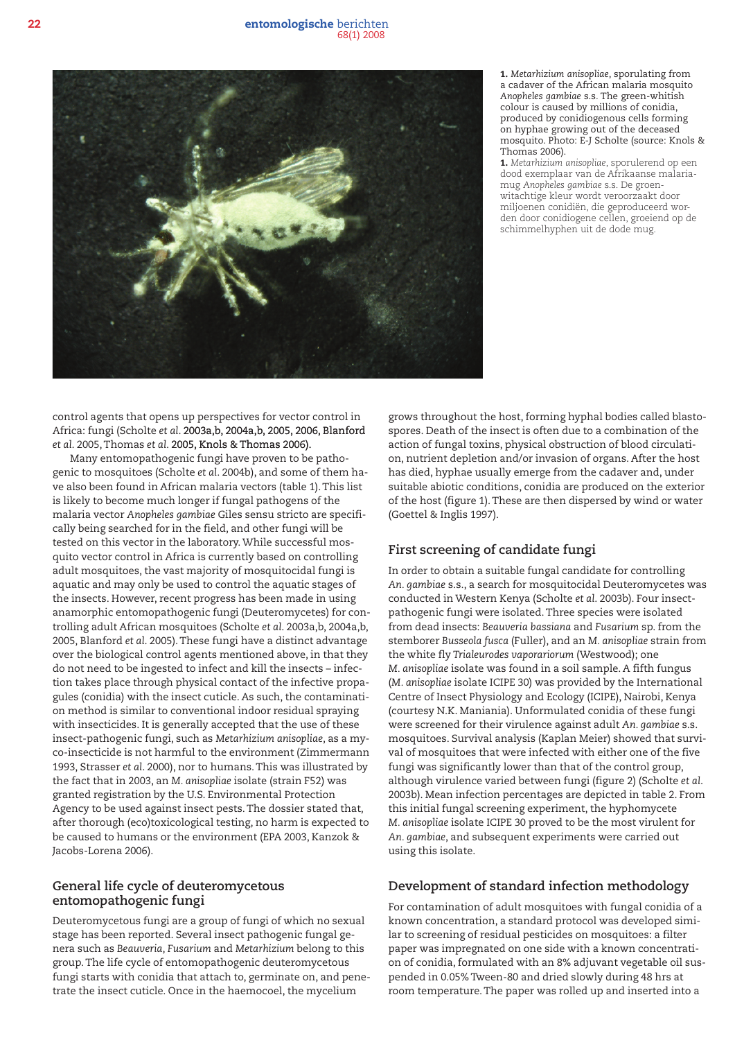

1. *Metarhizium anisopliae*, sporulating from a cadaver of the African malaria mosquito *Anopheles gambiae* s.s*.* The green-whitish colour is caused by millions of conidia, produced by conidiogenous cells forming on hyphae growing out of the deceased mosquito. Photo: E-J Scholte (source: Knols & Thomas 2006).

1. *Metarhizium anisopliae*, sporulerend op een dood exemplaar van de Afrikaanse malariamug *Anopheles gambiae* s.s. De groenwitachtige kleur wordt veroorzaakt door miljoenen conidiën, die geproduceerd worden door conidiogene cellen, groeiend op de schimmelhyphen uit de dode mug.

control agents that opens up perspectives for vector control in Africa: fungi (Scholte *et al*. 2003a,b, 2004a,b, 2005, 2006, Blanford *et al*. 2005,Thomas *et al*. 2005, Knols & Thomas 2006).

Many entomopathogenic fungi have proven to be pathogenic to mosquitoes (Scholte *et al*. 2004b), and some of them have also been found in African malaria vectors (table 1).This list is likely to become much longer if fungal pathogens of the malaria vector *Anopheles gambiae* Giles sensu stricto are specifically being searched for in the field, and other fungi will be tested on this vector in the laboratory.While successful mosquito vector control in Africa is currently based on controlling adult mosquitoes, the vast majority of mosquitocidal fungi is aquatic and may only be used to control the aquatic stages of the insects. However, recent progress has been made in using anamorphic entomopathogenic fungi (Deuteromycetes) for controlling adult African mosquitoes (Scholte *et al*. 2003a,b, 2004a,b, 2005, Blanford *et al*. 2005).These fungi have a distinct advantage over the biological control agents mentioned above, in that they do not need to be ingested to infect and kill the insects – infection takes place through physical contact of the infective propagules (conidia) with the insect cuticle. As such, the contamination method is similar to conventional indoor residual spraying with insecticides. It is generally accepted that the use of these insect-pathogenic fungi, such as *Metarhizium anisopliae*, as a myco-insecticide is not harmful to the environment (Zimmermann 1993, Strasser *et al*. 2000), nor to humans.This was illustrated by the fact that in 2003, an *M. anisopliae* isolate (strain F52) was granted registration by the U.S. Environmental Protection Agency to be used against insect pests.The dossier stated that, after thorough (eco)toxicological testing, no harm is expected to be caused to humans or the environment (EPA 2003, Kanzok & Jacobs-Lorena 2006).

## **General life cycle of deuteromycetous entomopathogenic fungi**

Deuteromycetous fungi are a group of fungi of which no sexual stage has been reported. Several insect pathogenic fungal genera such as *Beauveria*, *Fusarium* and *Metarhizium* belong to this group.The life cycle of entomopathogenic deuteromycetous fungi starts with conidia that attach to, germinate on, and penetrate the insect cuticle. Once in the haemocoel, the mycelium

grows throughout the host, forming hyphal bodies called blastospores. Death of the insect is often due to a combination of the action of fungal toxins, physical obstruction of blood circulation, nutrient depletion and/or invasion of organs. After the host has died, hyphae usually emerge from the cadaver and, under suitable abiotic conditions, conidia are produced on the exterior of the host (figure 1).These are then dispersed by wind or water (Goettel & Inglis 1997).

# **First screening of candidate fungi**

In order to obtain a suitable fungal candidate for controlling *An. gambiae* s.s., a search for mosquitocidal Deuteromycetes was conducted in Western Kenya (Scholte *et al*. 2003b). Four insectpathogenic fungi were isolated.Three species were isolated from dead insects: *Beauveria bassiana* and *Fusarium* sp. from the stemborer *Busseola fusca* (Fuller), and an *M. anisopliae* strain from the white fly *Trialeurodes vaporariorum* (Westwood); one *M. anisopliae* isolate was found in a soil sample. A fifth fungus (*M. anisopliae* isolate ICIPE 30) was provided by the International Centre of Insect Physiology and Ecology (ICIPE), Nairobi, Kenya (courtesy N.K. Maniania). Unformulated conidia of these fungi were screened for their virulence against adult *An. gambiae* s.s. mosquitoes. Survival analysis (Kaplan Meier) showed that survival of mosquitoes that were infected with either one of the five fungi was significantly lower than that of the control group, although virulence varied between fungi (figure 2) (Scholte *et al*. 2003b). Mean infection percentages are depicted in table 2. From this initial fungal screening experiment, the hyphomycete *M. anisopliae* isolate ICIPE 30 proved to be the most virulent for *An. gambiae*, and subsequent experiments were carried out using this isolate.

# **Development of standard infection methodology**

For contamination of adult mosquitoes with fungal conidia of a known concentration, a standard protocol was developed similar to screening of residual pesticides on mosquitoes: a filter paper was impregnated on one side with a known concentration of conidia, formulated with an 8% adjuvant vegetable oil suspended in 0.05% Tween-80 and dried slowly during 48 hrs at room temperature.The paper was rolled up and inserted into a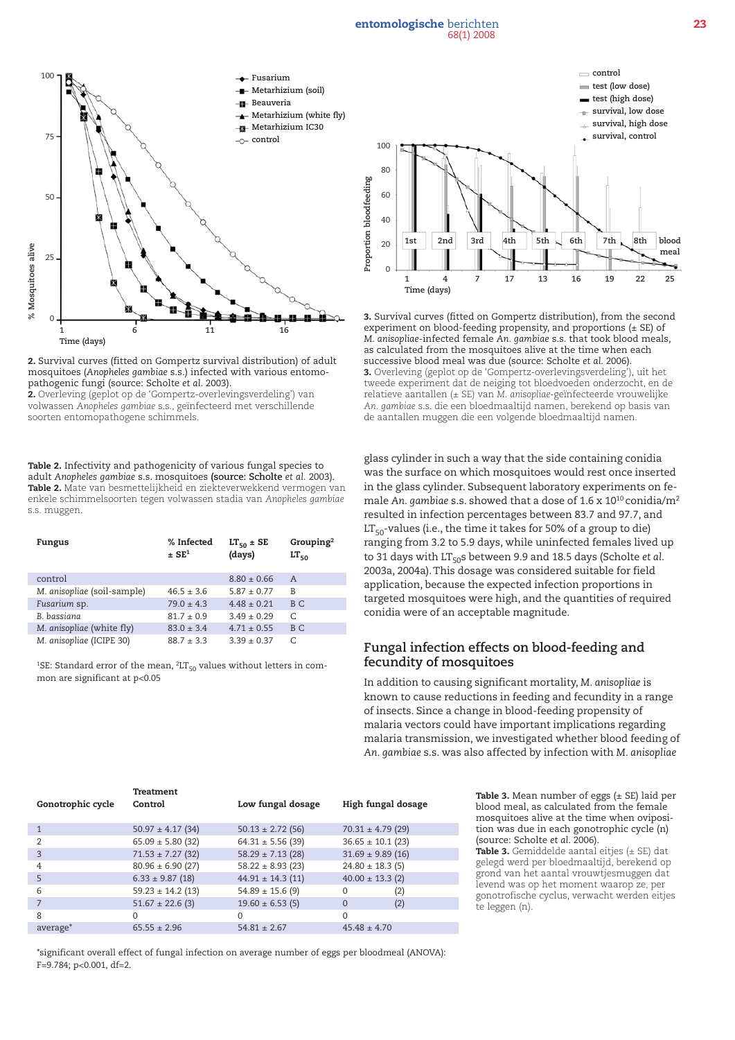#### entomologische berichten 23 68(1) 2008



2. Survival curves (fitted on Gompertz survival distribution) of adult mosquitoes (*Anopheles gambiae* s.s.) infected with various entomopathogenic fungi (source: Scholte *et al*. 2003).

2. Overleving (geplot op de 'Gompertz-overlevingsverdeling') van volwassen *Anopheles gambiae* s.s., geïnfecteerd met verschillende soorten entomopathogene schimmels.

Table 2. Infectivity and pathogenicity of various fungal species to adult *Anopheles gambiae* s.s. mosquitoes (source: Scholte *et al.* 2003). Table 2. Mate van besmettelijkheid en ziekteverwekkend vermogen van enkele schimmelsoorten tegen volwassen stadia van *Anopheles gambiae*  s.s. muggen.

| Fungus                      | % Infected<br>$\pm$ SE <sup>1</sup> | $LT_{50}$ ± SE<br>(days) | Grouping <sup>2</sup><br>$LT_{50}$ |
|-----------------------------|-------------------------------------|--------------------------|------------------------------------|
| control                     |                                     | $8.80 \pm 0.66$          | $\mathsf{A}$                       |
| M. anisopliae (soil-sample) | $46.5 \pm 3.6$                      | $5.87 \pm 0.77$          | B                                  |
| Fusarium sp.                | $79.0 \pm 4.3$                      | $4.48 \pm 0.21$          | B C                                |
| B. bassiana                 | $81.7 \pm 0.9$                      | $3.49 \pm 0.29$          | C                                  |
| M. anisopliae (white fly)   | $83.0 \pm 3.4$                      | $4.71 \pm 0.55$          | B C                                |
| M. anisopliae (ICIPE 30)    | $88.7 \pm 3.3$                      | $3.39 + 0.37$            | C                                  |

<sup>1</sup>SE: Standard error of the mean,  ${}^{2}LT_{50}$  values without letters in common are significant at p<0.05



3. Survival curves (fitted on Gompertz distribution), from the second experiment on blood-feeding propensity, and proportions (± SE) of *M. anisopliae*-infected female *An. gambiae* s.s. that took blood meals, as calculated from the mosquitoes alive at the time when each successive blood meal was due (source: Scholte *et al*. 2006). 3. Overleving (geplot op de 'Gompertz-overlevingsverdeling'), uit het tweede experiment dat de neiging tot bloedvoeden onderzocht, en de relatieve aantallen (± SE) van *M. anisopliae*-geïnfecteerde vrouwelijke *An. gambiae* s.s. die een bloedmaaltijd namen, berekend op basis van de aantallen muggen die een volgende bloedmaaltijd namen.

glass cylinder in such a way that the side containing conidia was the surface on which mosquitoes would rest once inserted in the glass cylinder. Subsequent laboratory experiments on female *An. gambiae* s.s. showed that a dose of 1.6 x 1010 conidia/m2 resulted in infection percentages between 83.7 and 97.7, and  $LT<sub>50</sub>$ -values (i.e., the time it takes for 50% of a group to die) ranging from 3.2 to 5.9 days, while uninfected females lived up to 31 days with LT<sub>50</sub>s between 9.9 and 18.5 days (Scholte *et al.*) 2003a, 2004a).This dosage was considered suitable for field application, because the expected infection proportions in targeted mosquitoes were high, and the quantities of required conidia were of an acceptable magnitude.

## **Fungal infection effects on blood-feeding and fecundity of mosquitoes**

In addition to causing significant mortality, *M. anisopliae* is known to cause reductions in feeding and fecundity in a range of insects. Since a change in blood-feeding propensity of malaria vectors could have important implications regarding malaria transmission, we investigated whether blood feeding of *An. gambiae* s.s. was also affected by infection with *M. anisopliae*

|                      | <b>Treatment</b>      |                       |                       |  |
|----------------------|-----------------------|-----------------------|-----------------------|--|
| Gonotrophic cycle    | Control               | Low fungal dosage     | High fungal dosage    |  |
| $\mathbf{1}$         | $50.97 \pm 4.17$ (34) | $50.13 \pm 2.72$ (56) | $70.31 \pm 4.79$ (29) |  |
| $\overline{2}$       | $65.09 \pm 5.80$ (32) | $64.31 \pm 5.56$ (39) | $36.65 \pm 10.1$ (23) |  |
| 3                    | $71.53 \pm 7.27$ (32) | $58.29 \pm 7.13$ (28) | $31.69 \pm 9.89$ (16) |  |
| $\overline{4}$       | $80.96 \pm 6.90$ (27) | $58.22 \pm 8.93$ (23) | $24.80 \pm 18.3$ (5)  |  |
| $\overline{5}$       | $6.33 \pm 9.87$ (18)  | $44.91 \pm 14.3$ (11) | $40.00 \pm 13.3$ (2)  |  |
| 6                    | $59.23 \pm 14.2$ (13) | $54.89 \pm 15.6$ (9)  | (2)<br>$\Omega$       |  |
|                      | $51.67 \pm 22.6$ (3)  | $19.60 \pm 6.53$ (5)  | (2)<br>$\Omega$       |  |
| 8                    | $\Omega$              | 0                     | $\Omega$              |  |
| average <sup>*</sup> | $65.55 \pm 2.96$      | $54.81 \pm 2.67$      | $45.48 \pm 4.70$      |  |

**Table 3.** Mean number of eggs  $(\pm$  SE) laid per blood meal, as calculated from the female mosquitoes alive at the time when oviposition was due in each gonotrophic cycle (n) (source: Scholte *et al*. 2006).

**Table 3.** Gemiddelde aantal eitjes  $(\pm SE)$  dat gelegd werd per bloedmaaltijd, berekend op grond van het aantal vrouwtjesmuggen dat levend was op het moment waarop ze, per gonotrofische cyclus, verwacht werden eitjes te leggen (n).

\*significant overall effect of fungal infection on average number of eggs per bloodmeal (ANOVA): F=9.784; p<0.001, df=2.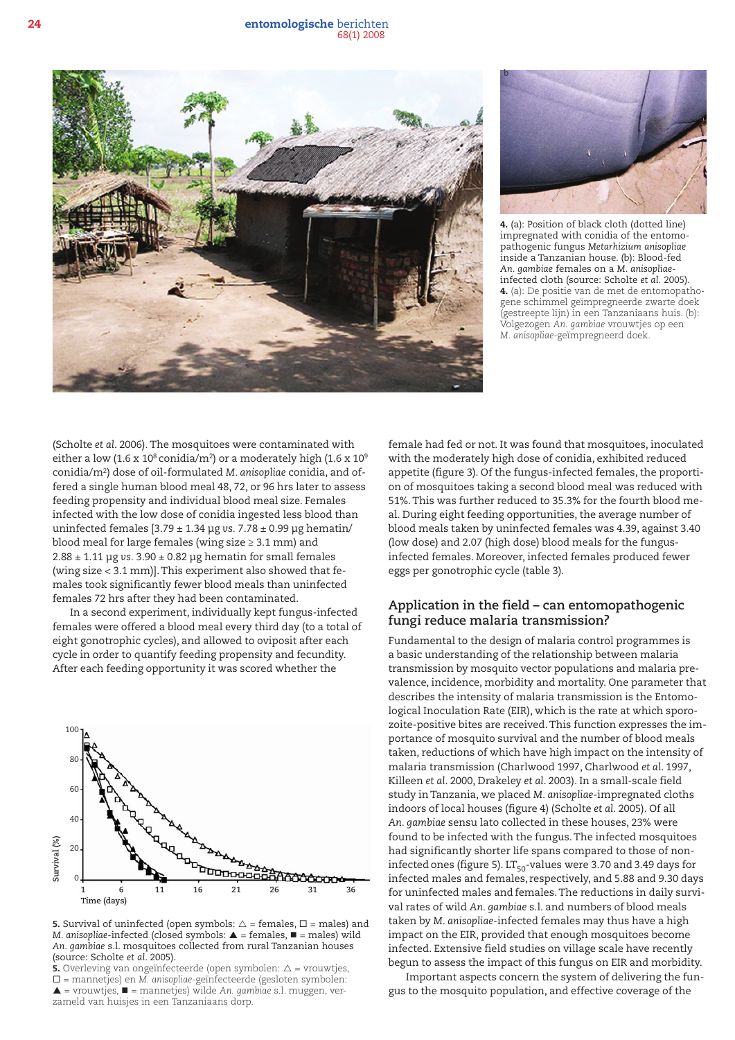24 entomologische berichten 68(1) 2008





4. (a): Position of black cloth (dotted line) impregnated with conidia of the entomopathogenic fungus *Metarhizium anisopliae* inside a Tanzanian house. (b): Blood-fed *An. gambiae* females on a *M. anisopliae*infected cloth (source: Scholte *et al.* 2005). 4. (a): De positie van de met de entomopathogene schimmel geïmpregneerde zwarte doek (gestreepte lijn) in een Tanzaniaans huis. (b): Volgezogen *An. gambiae* vrouwtjes op een *M. anisopliae*-geïmpregneerd doek.

(Scholte *et al*. 2006)*.* The mosquitoes were contaminated with either a low (1.6 x 10<sup>8</sup> conidia/m<sup>2</sup>) or a moderately high (1.6 x 10<sup>9</sup>) conidia/m2) dose of oil-formulated *M. anisopliae* conidia, and offered a single human blood meal 48, 72, or 96 hrs later to assess feeding propensity and individual blood meal size. Females infected with the low dose of conidia ingested less blood than uninfected females [3.79 ± 1.34 μg *vs.* 7.78 ± 0.99 μg hematin/ blood meal for large females (wing size  $\geq 3.1$  mm) and 2.88 ± 1.11 μg *vs.* 3.90 ± 0.82 μg hematin for small females (wing size < 3.1 mm)].This experiment also showed that females took significantly fewer blood meals than uninfected females 72 hrs after they had been contaminated.

In a second experiment, individually kept fungus-infected females were offered a blood meal every third day (to a total of eight gonotrophic cycles), and allowed to oviposit after each cycle in order to quantify feeding propensity and fecundity. After each feeding opportunity it was scored whether the



**5.** Survival of uninfected (open symbols:  $\triangle$  = females,  $\square$  = males) and *M. anisopliae*-infected (closed symbols:  $\triangle$  = females,  $\blacksquare$  = males) wild *An. gambiae* s.l. mosquitoes collected from rural Tanzanian houses (source: Scholte *et al*. 2005).

**5.** Overleving van ongeïnfecteerde (open symbolen:  $\Delta$  = vrouwtjes, ® = mannetjes) en *M. anisopliae*-geïnfecteerde (gesloten symbolen: p = vrouwtjes, n = mannetjes) wilde *An. gambiae* s.l. muggen, verzameld van huisjes in een Tanzaniaans dorp.

female had fed or not. It was found that mosquitoes, inoculated with the moderately high dose of conidia, exhibited reduced appetite (figure 3). Of the fungus-infected females, the proportion of mosquitoes taking a second blood meal was reduced with 51%.This was further reduced to 35.3% for the fourth blood meal. During eight feeding opportunities, the average number of blood meals taken by uninfected females was 4.39, against 3.40 (low dose) and 2.07 (high dose) blood meals for the fungusinfected females. Moreover, infected females produced fewer eggs per gonotrophic cycle (table 3).

### **Application in the field – can entomopathogenic fungi reduce malaria transmission?**

Fundamental to the design of malaria control programmes is a basic understanding of the relationship between malaria transmission by mosquito vector populations and malaria prevalence, incidence, morbidity and mortality. One parameter that describes the intensity of malaria transmission is the Entomological Inoculation Rate (EIR), which is the rate at which sporozoite-positive bites are received.This function expresses the importance of mosquito survival and the number of blood meals taken, reductions of which have high impact on the intensity of malaria transmission (Charlwood 1997, Charlwood *et al*. 1997, Killeen *et al*. 2000, Drakeley *et al*. 2003). In a small-scale field study in Tanzania, we placed *M. anisopliae*-impregnated cloths indoors of local houses (figure 4) (Scholte *et al*. 2005). Of all *An. gambiae* sensu lato collected in these houses, 23% were found to be infected with the fungus.The infected mosquitoes had significantly shorter life spans compared to those of noninfected ones (figure 5).  $LT_{50}$ -values were 3.70 and 3.49 days for infected males and females, respectively, and 5.88 and 9.30 days for uninfected males and females.The reductions in daily survival rates of wild *An. gambiae* s.l. and numbers of blood meals taken by *M. anisopliae*-infected females may thus have a high impact on the EIR, provided that enough mosquitoes become infected. Extensive field studies on village scale have recently begun to assess the impact of this fungus on EIR and morbidity.

Important aspects concern the system of delivering the fungus to the mosquito population, and effective coverage of the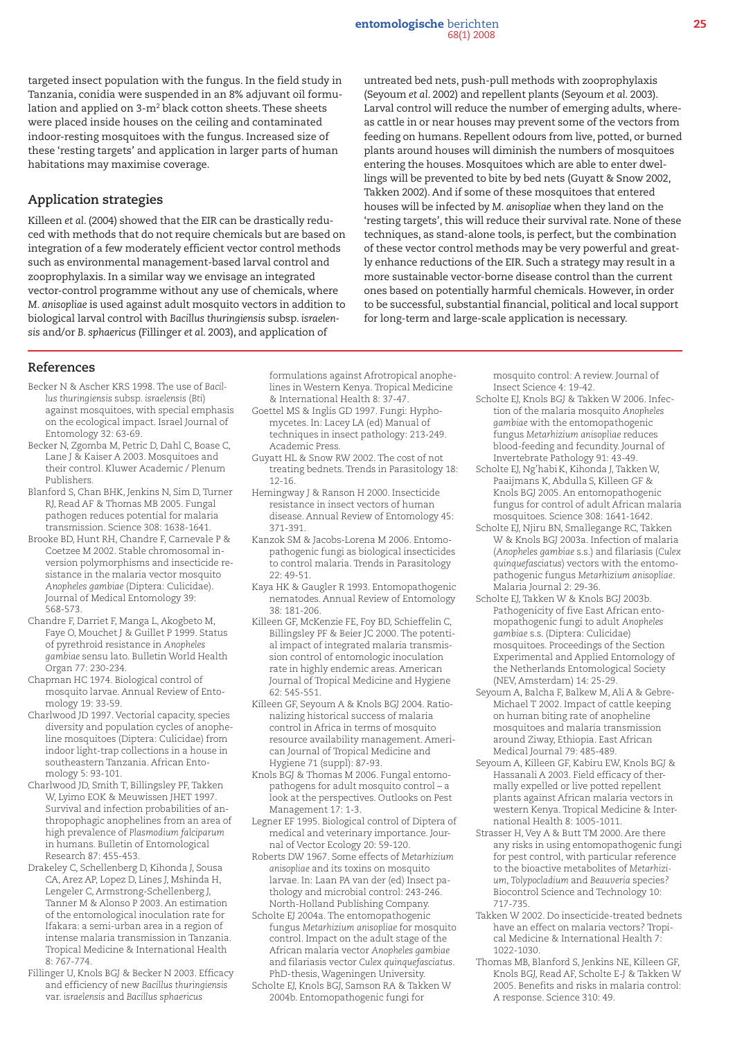targeted insect population with the fungus. In the field study in Tanzania, conidia were suspended in an 8% adjuvant oil formulation and applied on 3-m2 black cotton sheets.These sheets were placed inside houses on the ceiling and contaminated indoor-resting mosquitoes with the fungus. Increased size of these 'resting targets' and application in larger parts of human habitations may maximise coverage.

## **Application strategies**

Killeen *et al*. (2004) showed that the EIR can be drastically reduced with methods that do not require chemicals but are based on integration of a few moderately efficient vector control methods such as environmental management-based larval control and zooprophylaxis. In a similar way we envisage an integrated vector-control programme without any use of chemicals, where *M. anisopliae* is used against adult mosquito vectors in addition to biological larval control with *Bacillus thuringiensis* subsp. *israelensis* and/or *B. sphaericus* (Fillinger *et al*. 2003), and application of

untreated bed nets, push-pull methods with zooprophylaxis (Seyoum *et al*. 2002) and repellent plants (Seyoum *et al*. 2003). Larval control will reduce the number of emerging adults, whereas cattle in or near houses may prevent some of the vectors from feeding on humans. Repellent odours from live, potted, or burned plants around houses will diminish the numbers of mosquitoes entering the houses. Mosquitoes which are able to enter dwellings will be prevented to bite by bed nets (Guyatt & Snow 2002, Takken 2002). And if some of these mosquitoes that entered houses will be infected by *M. anisopliae* when they land on the 'resting targets', this will reduce their survival rate. None of these techniques, as stand-alone tools, is perfect, but the combination of these vector control methods may be very powerful and greatly enhance reductions of the EIR. Such a strategy may result in a more sustainable vector-borne disease control than the current ones based on potentially harmful chemicals. However, in order to be successful, substantial financial, political and local support for long-term and large-scale application is necessary.

#### **References**

- Becker N & Ascher KRS 1998. The use of *Bacillus thuringiensis* subsp. *israelensis* (*Bti*) against mosquitoes, with special emphasis on the ecological impact. Israel Journal of Entomology 32: 63-69.
- Becker N, Zgomba M, Petric D, Dahl C, Boase C, Lane J & Kaiser A 2003. Mosquitoes and their control. Kluwer Academic / Plenum Publishers.
- Blanford S, Chan BHK, Jenkins N, Sim D, Turner RJ, Read AF & Thomas MB 2005. Fungal pathogen reduces potential for malaria transmission. Science 308: 1638-1641.
- Brooke BD, Hunt RH, Chandre F, Carnevale P & Coetzee M 2002. Stable chromosomal inversion polymorphisms and insecticide resistance in the malaria vector mosquito *Anopheles gambiae* (Diptera: Culicidae). Journal of Medical Entomology 39: 568-573.
- Chandre F, Darriet F, Manga L, Akogbeto M, Faye O, Mouchet J & Guillet P 1999. Status of pyrethroid resistance in *Anopheles gambiae* sensu lato. Bulletin World Health Organ 77: 230-234.
- Chapman HC 1974. Biological control of mosquito larvae. Annual Review of Entomology 19: 33-59.
- Charlwood JD 1997. Vectorial capacity, species diversity and population cycles of anopheline mosquitoes (Diptera: Culicidae) from indoor light-trap collections in a house in southeastern Tanzania. African Entomology 5: 93-101.
- Charlwood JD, Smith T, Billingsley PF, Takken W, Lyimo EOK & Meuwissen JHET 1997. Survival and infection probabilities of anthropophagic anophelines from an area of high prevalence of *Plasmodium falciparum* in humans. Bulletin of Entomological Research 87: 455-453.
- Drakeley C, Schellenberg D, Kihonda J, Sousa CA, Arez AP, Lopez D, Lines J, Mshinda H, Lengeler C, Armstrong-Schellenberg J, Tanner M & Alonso P 2003. An estimation of the entomological inoculation rate for Ifakara: a semi-urban area in a region of intense malaria transmission in Tanzania. Tropical Medicine & International Health 8: 767-774.
- Fillinger U, Knols BGJ & Becker N 2003. Efficacy and efficiency of new *Bacillus thuringiensis* var. *israelensis* and *Bacillus sphaericus*

formulations against Afrotropical anophelines in Western Kenya. Tropical Medicine & International Health 8: 37-47.

- Goettel MS & Inglis GD 1997. Fungi: Hyphomycetes. In: Lacey LA (ed) Manual of techniques in insect pathology: 213-249. Academic Press.
- Guyatt HL & Snow RW 2002. The cost of not treating bednets. Trends in Parasitology 18: 12-16.
- Hemingway J & Ranson H 2000. Insecticide resistance in insect vectors of human disease. Annual Review of Entomology 45: 371-391.
- Kanzok SM & Jacobs-Lorena M 2006. Entomopathogenic fungi as biological insecticides to control malaria. Trends in Parasitology 22: 49-51.
- Kaya HK & Gaugler R 1993. Entomopathogenic nematodes. Annual Review of Entomology 38: 181-206.
- Killeen GF, McKenzie FE, Foy BD, Schieffelin C, Billingsley PF & Beier JC 2000. The potential impact of integrated malaria transmission control of entomologic inoculation rate in highly endemic areas. American Journal of Tropical Medicine and Hygiene 62: 545-551.
- Killeen GF, Seyoum A & Knols BGJ 2004. Rationalizing historical success of malaria control in Africa in terms of mosquito resource availability management. American Journal of Tropical Medicine and Hygiene 71 (suppl): 87-93.
- Knols BGJ & Thomas M 2006. Fungal entomopathogens for adult mosquito control – a look at the perspectives. Outlooks on Pest Management 17: 1-3.
- Legner EF 1995. Biological control of Diptera of medical and veterinary importance. Journal of Vector Ecology 20: 59-120.
- Roberts DW 1967. Some effects of *Metarhizium anisopliae* and its toxins on mosquito larvae. In: Laan PA van der (ed) Insect pathology and microbial control: 243-246. North-Holland Publishing Company.
- Scholte EJ 2004a. The entomopathogenic fungus *Metarhizium anisopliae* for mosquito control. Impact on the adult stage of the African malaria vector *Anopheles gambiae* and filariasis vector *Culex quinquefasciatus*. PhD-thesis, Wageningen University.
- Scholte EJ, Knols BGJ, Samson RA & Takken W 2004b. Entomopathogenic fungi for

mosquito control: A review. Journal of Insect Science 4: 19-42.

- Scholte EJ, Knols BGJ & Takken W 2006. Infection of the malaria mosquito *Anopheles gambiae* with the entomopathogenic fungus *Metarhizium anisopliae* reduces blood-feeding and fecundity. Journal of Invertebrate Pathology 91: 43-49.
- Scholte EJ, Ng'habi K, Kihonda J, Takken W, Paaijmans K, Abdulla S, Killeen GF & Knols BGJ 2005. An entomopathogenic fungus for control of adult African malaria mosquitoes. Science 308: 1641-1642.
- Scholte EJ, Njiru BN, Smallegange RC, Takken W & Knols BGJ 2003a. Infection of malaria (*Anopheles gambiae* s.s.) and filariasis (*Culex quinquefasciatus*) vectors with the entomopathogenic fungus *Metarhizium anisopliae*. Malaria Journal 2: 29-36.
- Scholte EJ, Takken W & Knols BGJ 2003b. Pathogenicity of five East African entomopathogenic fungi to adult *Anopheles gambiae* s.s. (Diptera: Culicidae) mosquitoes. Proceedings of the Section Experimental and Applied Entomology of the Netherlands Entomological Society (NEV, Amsterdam) 14: 25-29.
- Seyoum A, Balcha F, Balkew M, Ali A & Gebre-Michael T 2002. Impact of cattle keeping on human biting rate of anopheline mosquitoes and malaria transmission around Ziway, Ethiopia. East African Medical Journal 79: 485-489.
- Seyoum A, Killeen GF, Kabiru EW, Knols BGJ & Hassanali A 2003. Field efficacy of thermally expelled or live potted repellent plants against African malaria vectors in western Kenya. Tropical Medicine & International Health 8: 1005-1011.
- Strasser H, Vey A & Butt TM 2000. Are there any risks in using entomopathogenic fungi for pest control, with particular reference to the bioactive metabolites of *Metarhizium*, *Tolypocladium* and *Beauveria* species? Biocontrol Science and Technology 10: 717-735.
- Takken W 2002. Do insecticide-treated bednets have an effect on malaria vectors? Tropical Medicine & International Health 7: 1022-1030.
- Thomas MB, Blanford S, Jenkins NE, Killeen GF, Knols BGJ, Read AF, Scholte E-J & Takken W 2005. Benefits and risks in malaria control: A response. Science 310: 49.